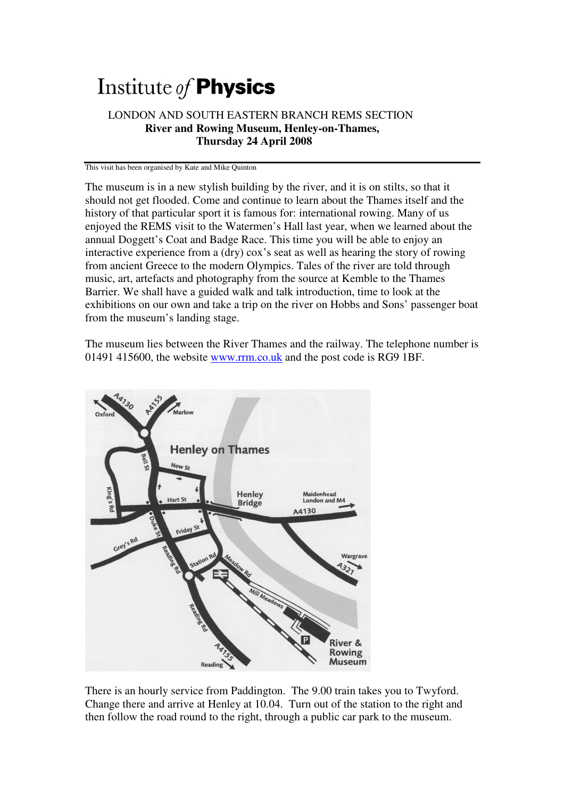## Institute of **Physics**

## LONDON AND SOUTH EASTERN BRANCH REMS SECTION  **River and Rowing Museum, Henley-on-Thames, Thursday 24 April 2008**

This visit has been organised by Kate and Mike Quinton

The museum is in a new stylish building by the river, and it is on stilts, so that it should not get flooded. Come and continue to learn about the Thames itself and the history of that particular sport it is famous for: international rowing. Many of us enjoyed the REMS visit to the Watermen's Hall last year, when we learned about the annual Doggett's Coat and Badge Race. This time you will be able to enjoy an interactive experience from a (dry) cox's seat as well as hearing the story of rowing from ancient Greece to the modern Olympics. Tales of the river are told through music, art, artefacts and photography from the source at Kemble to the Thames Barrier. We shall have a guided walk and talk introduction, time to look at the exhibitions on our own and take a trip on the river on Hobbs and Sons' passenger boat from the museum's landing stage.

The museum lies between the River Thames and the railway. The telephone number is 01491 415600, the website www.rrm.co.uk and the post code is RG9 1BF.



There is an hourly service from Paddington. The 9.00 train takes you to Twyford. Change there and arrive at Henley at 10.04. Turn out of the station to the right and then follow the road round to the right, through a public car park to the museum.